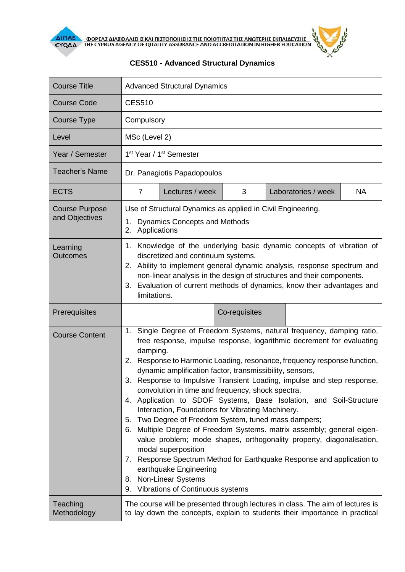

ΔΙΠΑΕΛ ΦΟΡΕΑΣ ΔΙΑΣΦΑΛΙΣΗΣ ΚΑΙ ΠΙΣΤΟΠΟΙΗΣΗΣ ΤΗΣ ΠΟΙΟΤΗΤΑΣ ΤΗΣ ΑΝΩΤΕΡΗΣ ΕΚΠΑΙΔΕΥΣΗ:<br>ΣΥ ΑΛΑ ΤΗ Ε CYPRUS AGENCY OF QUALITY ASSURANCE AND ACCREDITATION IN HIGHER EDUCATION

| $\frac{2}{ON}$ |  |  |
|----------------|--|--|
|                |  |  |

| <b>Course Title</b>                     | <b>Advanced Structural Dynamics</b>                                                                                                                                                                                                                                                                                                                                                                                                                                                                                                                                                                                                                                                                                                                                                                                                                                                                                                                                                                      |                 |               |  |                     |           |  |
|-----------------------------------------|----------------------------------------------------------------------------------------------------------------------------------------------------------------------------------------------------------------------------------------------------------------------------------------------------------------------------------------------------------------------------------------------------------------------------------------------------------------------------------------------------------------------------------------------------------------------------------------------------------------------------------------------------------------------------------------------------------------------------------------------------------------------------------------------------------------------------------------------------------------------------------------------------------------------------------------------------------------------------------------------------------|-----------------|---------------|--|---------------------|-----------|--|
| <b>Course Code</b>                      | <b>CES510</b>                                                                                                                                                                                                                                                                                                                                                                                                                                                                                                                                                                                                                                                                                                                                                                                                                                                                                                                                                                                            |                 |               |  |                     |           |  |
| <b>Course Type</b>                      | Compulsory                                                                                                                                                                                                                                                                                                                                                                                                                                                                                                                                                                                                                                                                                                                                                                                                                                                                                                                                                                                               |                 |               |  |                     |           |  |
| Level                                   |                                                                                                                                                                                                                                                                                                                                                                                                                                                                                                                                                                                                                                                                                                                                                                                                                                                                                                                                                                                                          | MSc (Level 2)   |               |  |                     |           |  |
| Year / Semester                         | 1 <sup>st</sup> Year / 1 <sup>st</sup> Semester                                                                                                                                                                                                                                                                                                                                                                                                                                                                                                                                                                                                                                                                                                                                                                                                                                                                                                                                                          |                 |               |  |                     |           |  |
| <b>Teacher's Name</b>                   | Dr. Panagiotis Papadopoulos                                                                                                                                                                                                                                                                                                                                                                                                                                                                                                                                                                                                                                                                                                                                                                                                                                                                                                                                                                              |                 |               |  |                     |           |  |
| <b>ECTS</b>                             | $\overline{7}$                                                                                                                                                                                                                                                                                                                                                                                                                                                                                                                                                                                                                                                                                                                                                                                                                                                                                                                                                                                           | Lectures / week | 3             |  | Laboratories / week | <b>NA</b> |  |
| <b>Course Purpose</b><br>and Objectives | Use of Structural Dynamics as applied in Civil Engineering.<br>1. Dynamics Concepts and Methods<br>Applications<br>2.                                                                                                                                                                                                                                                                                                                                                                                                                                                                                                                                                                                                                                                                                                                                                                                                                                                                                    |                 |               |  |                     |           |  |
| Learning<br><b>Outcomes</b>             | Knowledge of the underlying basic dynamic concepts of vibration of<br>1.<br>discretized and continuum systems.<br>2. Ability to implement general dynamic analysis, response spectrum and<br>non-linear analysis in the design of structures and their components.<br>Evaluation of current methods of dynamics, know their advantages and<br>3.<br>limitations.                                                                                                                                                                                                                                                                                                                                                                                                                                                                                                                                                                                                                                         |                 |               |  |                     |           |  |
| Prerequisites                           |                                                                                                                                                                                                                                                                                                                                                                                                                                                                                                                                                                                                                                                                                                                                                                                                                                                                                                                                                                                                          |                 | Co-requisites |  |                     |           |  |
| <b>Course Content</b>                   | Single Degree of Freedom Systems, natural frequency, damping ratio,<br>1.<br>free response, impulse response, logarithmic decrement for evaluating<br>damping.<br>Response to Harmonic Loading, resonance, frequency response function,<br>2.<br>dynamic amplification factor, transmissibility, sensors,<br>Response to Impulsive Transient Loading, impulse and step response,<br>3.<br>convolution in time and frequency, shock spectra.<br>4. Application to SDOF Systems, Base Isolation, and Soil-Structure<br>Interaction, Foundations for Vibrating Machinery.<br>5. Two Degree of Freedom System, tuned mass dampers;<br>Multiple Degree of Freedom Systems. matrix assembly; general eigen-<br>6.<br>value problem; mode shapes, orthogonality property, diagonalisation,<br>modal superposition<br>Response Spectrum Method for Earthquake Response and application to<br>$\mathcal{L}$ .<br>earthquake Engineering<br><b>Non-Linear Systems</b><br>8.<br>9. Vibrations of Continuous systems |                 |               |  |                     |           |  |
| Teaching<br>Methodology                 | The course will be presented through lectures in class. The aim of lectures is<br>to lay down the concepts, explain to students their importance in practical                                                                                                                                                                                                                                                                                                                                                                                                                                                                                                                                                                                                                                                                                                                                                                                                                                            |                 |               |  |                     |           |  |